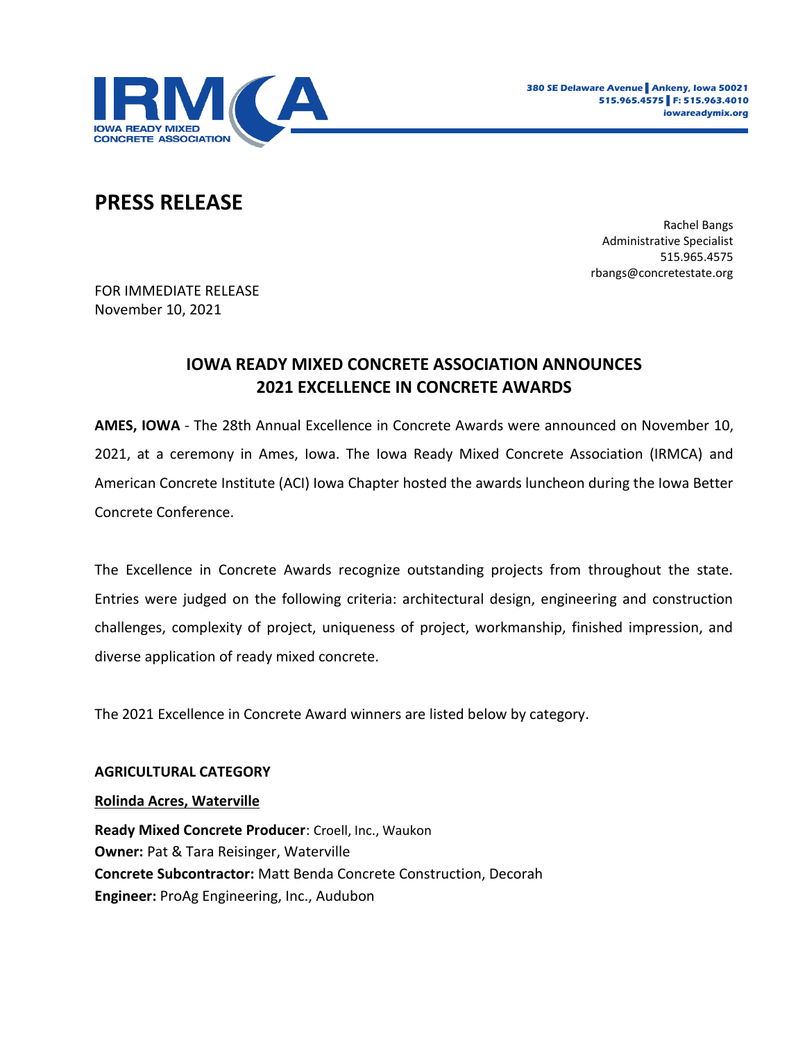

# **PRESS RELEASE**

Rachel Bangs Administrative Specialist 515.965.4575 rbangs@concretestate.org

FOR IMMEDIATE RELEASE November 10, 2021

## **IOWA READY MIXED CONCRETE ASSOCIATION ANNOUNCES 2021 EXCELLENCE IN CONCRETE AWARDS**

**AMES, IOWA** - The 28th Annual Excellence in Concrete Awards were announced on November 10, 2021, at a ceremony in Ames, Iowa. The Iowa Ready Mixed Concrete Association (IRMCA) and American Concrete Institute (ACI) Iowa Chapter hosted the awards luncheon during the Iowa Better Concrete Conference.

The Excellence in Concrete Awards recognize outstanding projects from throughout the state. Entries were judged on the following criteria: architectural design, engineering and construction challenges, complexity of project, uniqueness of project, workmanship, finished impression, and diverse application of ready mixed concrete.

The 2021 Excellence in Concrete Award winners are listed below by category.

## **AGRICULTURAL CATEGORY**

#### **Rolinda Acres, Waterville**

**Ready Mixed Concrete Producer**: Croell, Inc., Waukon **Owner:** Pat & Tara Reisinger, Waterville **Concrete Subcontractor:** Matt Benda Concrete Construction, Decorah **Engineer:** ProAg Engineering, Inc., Audubon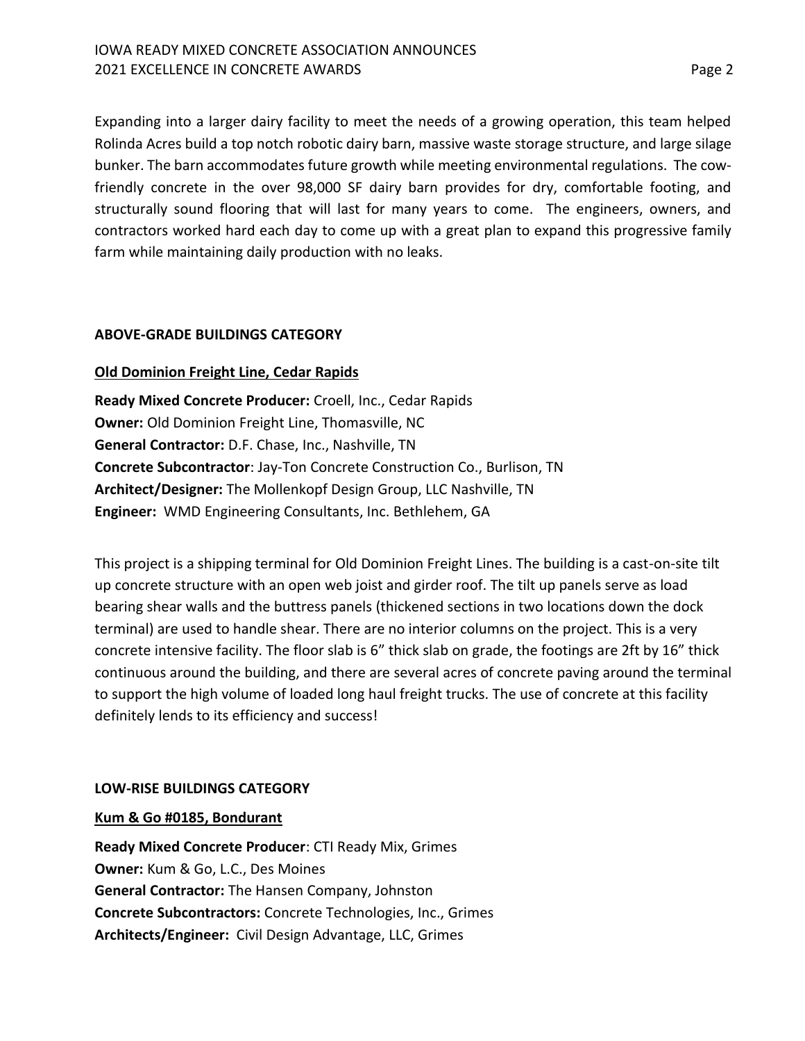Expanding into a larger dairy facility to meet the needs of a growing operation, this team helped Rolinda Acres build a top notch robotic dairy barn, massive waste storage structure, and large silage bunker. The barn accommodates future growth while meeting environmental regulations. The cowfriendly concrete in the over 98,000 SF dairy barn provides for dry, comfortable footing, and structurally sound flooring that will last for many years to come. The engineers, owners, and contractors worked hard each day to come up with a great plan to expand this progressive family farm while maintaining daily production with no leaks.

## **ABOVE-GRADE BUILDINGS CATEGORY**

## **Old Dominion Freight Line, Cedar Rapids**

**Ready Mixed Concrete Producer:** Croell, Inc., Cedar Rapids **Owner:** Old Dominion Freight Line, Thomasville, NC **General Contractor:** D.F. Chase, Inc., Nashville, TN **Concrete Subcontractor**: Jay-Ton Concrete Construction Co., Burlison, TN **Architect/Designer:** The Mollenkopf Design Group, LLC Nashville, TN **Engineer:** WMD Engineering Consultants, Inc. Bethlehem, GA

This project is a shipping terminal for Old Dominion Freight Lines. The building is a cast-on-site tilt up concrete structure with an open web joist and girder roof. The tilt up panels serve as load bearing shear walls and the buttress panels (thickened sections in two locations down the dock terminal) are used to handle shear. There are no interior columns on the project. This is a very concrete intensive facility. The floor slab is 6" thick slab on grade, the footings are 2ft by 16" thick continuous around the building, and there are several acres of concrete paving around the terminal to support the high volume of loaded long haul freight trucks. The use of concrete at this facility definitely lends to its efficiency and success!

## **LOW-RISE BUILDINGS CATEGORY**

## **Kum & Go #0185, Bondurant**

**Ready Mixed Concrete Producer**: CTI Ready Mix, Grimes **Owner:** Kum & Go, L.C., Des Moines **General Contractor:** The Hansen Company, Johnston **Concrete Subcontractors:** Concrete Technologies, Inc., Grimes **Architects/Engineer:** Civil Design Advantage, LLC, Grimes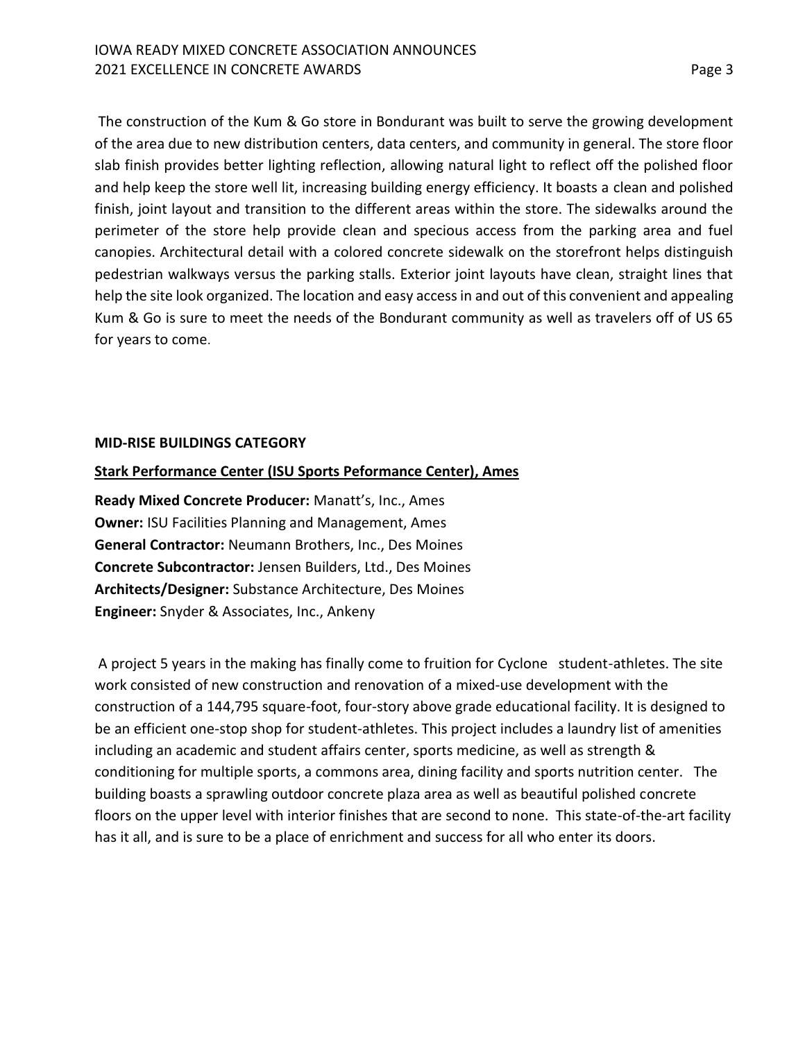The construction of the Kum & Go store in Bondurant was built to serve the growing development of the area due to new distribution centers, data centers, and community in general. The store floor slab finish provides better lighting reflection, allowing natural light to reflect off the polished floor and help keep the store well lit, increasing building energy efficiency. It boasts a clean and polished finish, joint layout and transition to the different areas within the store. The sidewalks around the perimeter of the store help provide clean and specious access from the parking area and fuel canopies. Architectural detail with a colored concrete sidewalk on the storefront helps distinguish pedestrian walkways versus the parking stalls. Exterior joint layouts have clean, straight lines that help the site look organized. The location and easy access in and out of this convenient and appealing Kum & Go is sure to meet the needs of the Bondurant community as well as travelers off of US 65 for years to come.

#### **MID-RISE BUILDINGS CATEGORY**

## **Stark Performance Center (ISU Sports Peformance Center), Ames**

**Ready Mixed Concrete Producer:** Manatt's, Inc., Ames **Owner:** ISU Facilities Planning and Management, Ames **General Contractor:** Neumann Brothers, Inc., Des Moines **Concrete Subcontractor:** Jensen Builders, Ltd., Des Moines **Architects/Designer:** Substance Architecture, Des Moines **Engineer:** Snyder & Associates, Inc., Ankeny

A project 5 years in the making has finally come to fruition for Cyclone student-athletes. The site work consisted of new construction and renovation of a mixed-use development with the construction of a 144,795 square-foot, four-story above grade educational facility. It is designed to be an efficient one-stop shop for student-athletes. This project includes a laundry list of amenities including an academic and student affairs center, sports medicine, as well as strength & conditioning for multiple sports, a commons area, dining facility and sports nutrition center. The building boasts a sprawling outdoor concrete plaza area as well as beautiful polished concrete floors on the upper level with interior finishes that are second to none. This state-of-the-art facility has it all, and is sure to be a place of enrichment and success for all who enter its doors.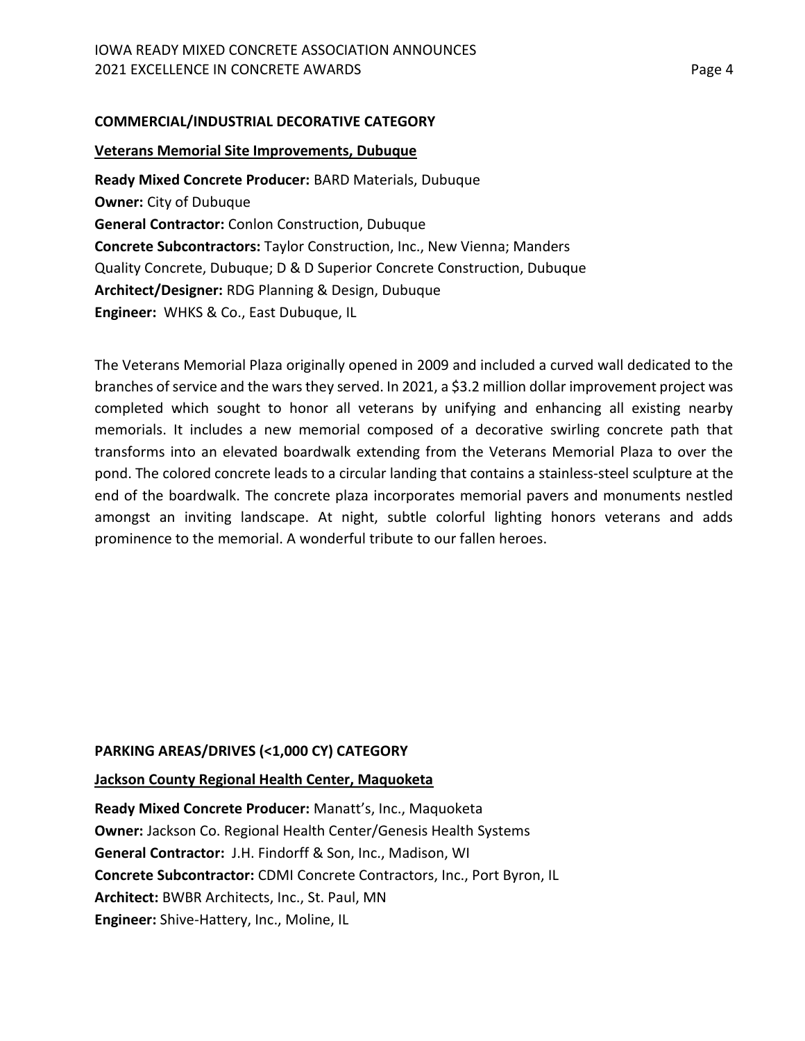#### **COMMERCIAL/INDUSTRIAL DECORATIVE CATEGORY**

#### **Veterans Memorial Site Improvements, Dubuque**

**Ready Mixed Concrete Producer:** BARD Materials, Dubuque **Owner:** City of Dubuque **General Contractor:** Conlon Construction, Dubuque **Concrete Subcontractors:** Taylor Construction, Inc., New Vienna; Manders Quality Concrete, Dubuque; D & D Superior Concrete Construction, Dubuque **Architect/Designer:** RDG Planning & Design, Dubuque **Engineer:** WHKS & Co., East Dubuque, IL

The Veterans Memorial Plaza originally opened in 2009 and included a curved wall dedicated to the branches of service and the wars they served. In 2021, a \$3.2 million dollar improvement project was completed which sought to honor all veterans by unifying and enhancing all existing nearby memorials. It includes a new memorial composed of a decorative swirling concrete path that transforms into an elevated boardwalk extending from the Veterans Memorial Plaza to over the pond. The colored concrete leads to a circular landing that contains a stainless-steel sculpture at the end of the boardwalk. The concrete plaza incorporates memorial pavers and monuments nestled amongst an inviting landscape. At night, subtle colorful lighting honors veterans and adds prominence to the memorial. A wonderful tribute to our fallen heroes.

## **PARKING AREAS/DRIVES (<1,000 CY) CATEGORY**

#### **Jackson County Regional Health Center, Maquoketa**

**Ready Mixed Concrete Producer:** Manatt's, Inc., Maquoketa **Owner:** Jackson Co. Regional Health Center/Genesis Health Systems **General Contractor:** J.H. Findorff & Son, Inc., Madison, WI **Concrete Subcontractor:** CDMI Concrete Contractors, Inc., Port Byron, IL **Architect:** BWBR Architects, Inc., St. Paul, MN **Engineer:** Shive-Hattery, Inc., Moline, IL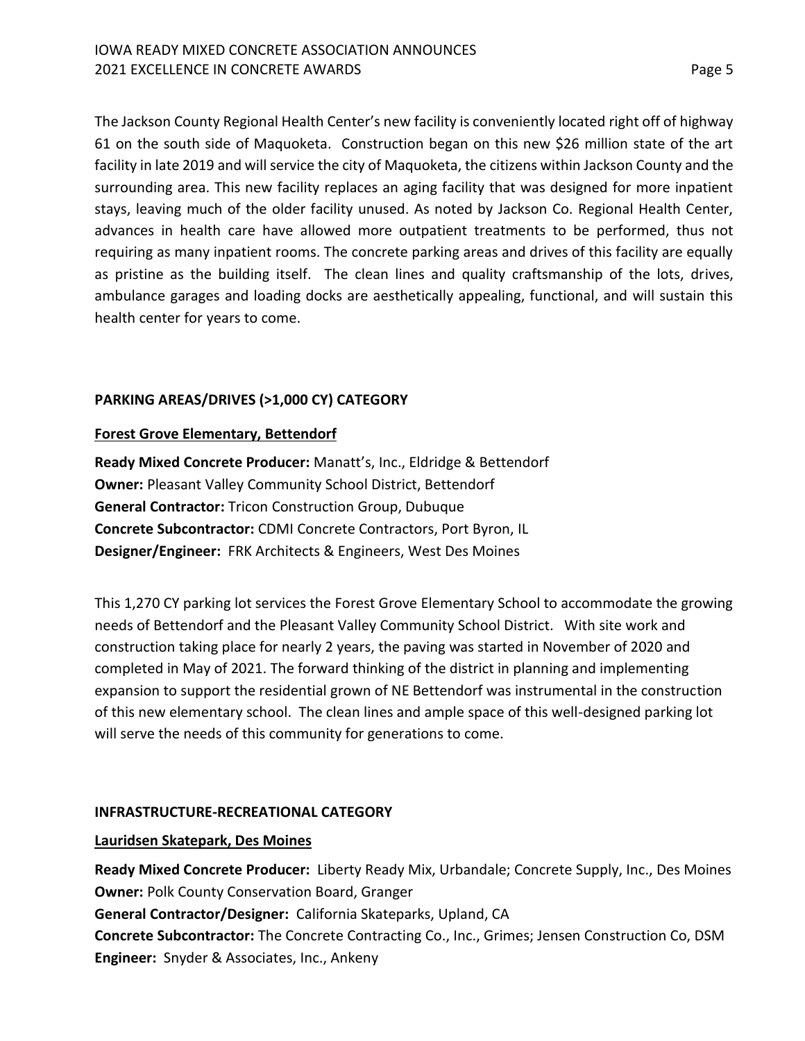The Jackson County Regional Health Center's new facility is conveniently located right off of highway 61 on the south side of Maquoketa. Construction began on this new \$26 million state of the art facility in late 2019 and will service the city of Maquoketa, the citizens within Jackson County and the surrounding area. This new facility replaces an aging facility that was designed for more inpatient stays, leaving much of the older facility unused. As noted by Jackson Co. Regional Health Center, advances in health care have allowed more outpatient treatments to be performed, thus not requiring as many inpatient rooms. The concrete parking areas and drives of this facility are equally as pristine as the building itself. The clean lines and quality craftsmanship of the lots, drives, ambulance garages and loading docks are aesthetically appealing, functional, and will sustain this health center for years to come.

## **PARKING AREAS/DRIVES (>1,000 CY) CATEGORY**

## **Forest Grove Elementary, Bettendorf**

**Ready Mixed Concrete Producer:** Manatt's, Inc., Eldridge & Bettendorf **Owner:** Pleasant Valley Community School District, Bettendorf **General Contractor:** Tricon Construction Group, Dubuque **Concrete Subcontractor:** CDMI Concrete Contractors, Port Byron, IL **Designer/Engineer:** FRK Architects & Engineers, West Des Moines

This 1,270 CY parking lot services the Forest Grove Elementary School to accommodate the growing needs of Bettendorf and the Pleasant Valley Community School District. With site work and construction taking place for nearly 2 years, the paving was started in November of 2020 and completed in May of 2021. The forward thinking of the district in planning and implementing expansion to support the residential grown of NE Bettendorf was instrumental in the construction of this new elementary school. The clean lines and ample space of this well-designed parking lot will serve the needs of this community for generations to come.

## **INFRASTRUCTURE-RECREATIONAL CATEGORY**

## **Lauridsen Skatepark, Des Moines**

**Ready Mixed Concrete Producer:** Liberty Ready Mix, Urbandale; Concrete Supply, Inc., Des Moines **Owner:** Polk County Conservation Board, Granger **General Contractor/Designer:** California Skateparks, Upland, CA **Concrete Subcontractor:** The Concrete Contracting Co., Inc., Grimes; Jensen Construction Co, DSM **Engineer:** Snyder & Associates, Inc., Ankeny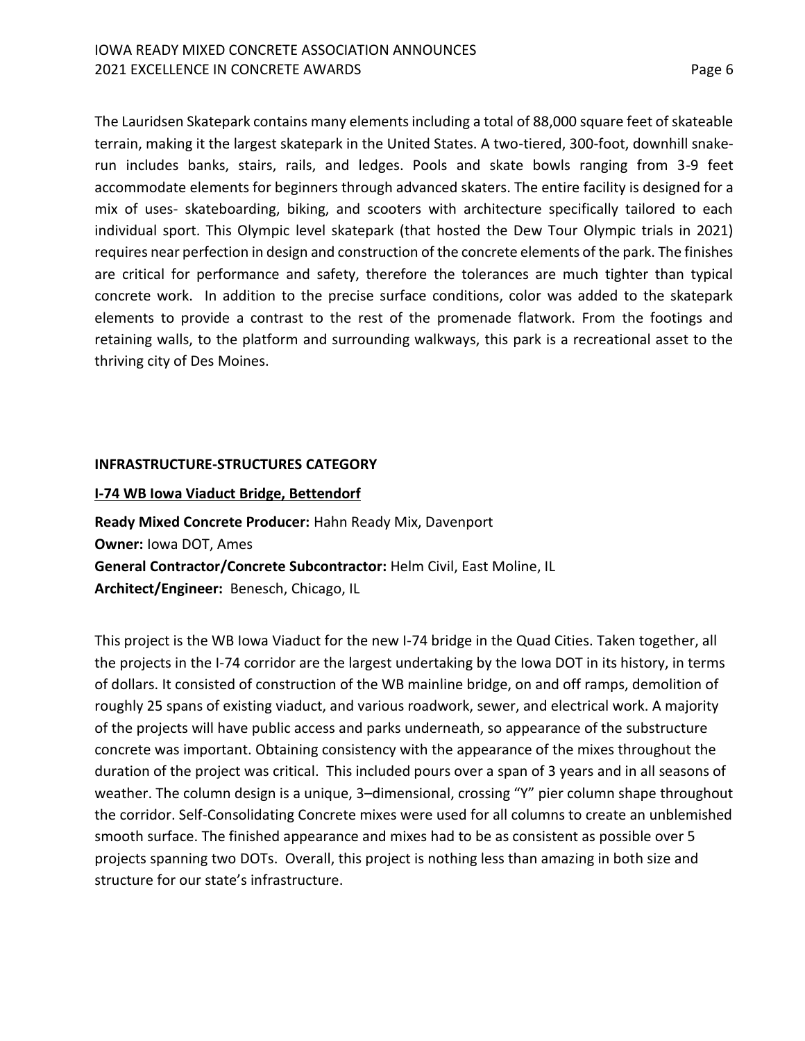The Lauridsen Skatepark contains many elements including a total of 88,000 square feet of skateable terrain, making it the largest skatepark in the United States. A two-tiered, 300-foot, downhill snakerun includes banks, stairs, rails, and ledges. Pools and skate bowls ranging from 3-9 feet accommodate elements for beginners through advanced skaters. The entire facility is designed for a mix of uses- skateboarding, biking, and scooters with architecture specifically tailored to each individual sport. This Olympic level skatepark (that hosted the Dew Tour Olympic trials in 2021) requires near perfection in design and construction of the concrete elements of the park. The finishes are critical for performance and safety, therefore the tolerances are much tighter than typical concrete work. In addition to the precise surface conditions, color was added to the skatepark elements to provide a contrast to the rest of the promenade flatwork. From the footings and retaining walls, to the platform and surrounding walkways, this park is a recreational asset to the thriving city of Des Moines.

#### **INFRASTRUCTURE-STRUCTURES CATEGORY**

#### **I-74 WB Iowa Viaduct Bridge, Bettendorf**

**Ready Mixed Concrete Producer:** Hahn Ready Mix, Davenport **Owner:** Iowa DOT, Ames **General Contractor/Concrete Subcontractor:** Helm Civil, East Moline, IL **Architect/Engineer:** Benesch, Chicago, IL

This project is the WB Iowa Viaduct for the new I-74 bridge in the Quad Cities. Taken together, all the projects in the I-74 corridor are the largest undertaking by the Iowa DOT in its history, in terms of dollars. It consisted of construction of the WB mainline bridge, on and off ramps, demolition of roughly 25 spans of existing viaduct, and various roadwork, sewer, and electrical work. A majority of the projects will have public access and parks underneath, so appearance of the substructure concrete was important. Obtaining consistency with the appearance of the mixes throughout the duration of the project was critical. This included pours over a span of 3 years and in all seasons of weather. The column design is a unique, 3–dimensional, crossing "Y" pier column shape throughout the corridor. Self-Consolidating Concrete mixes were used for all columns to create an unblemished smooth surface. The finished appearance and mixes had to be as consistent as possible over 5 projects spanning two DOTs. Overall, this project is nothing less than amazing in both size and structure for our state's infrastructure.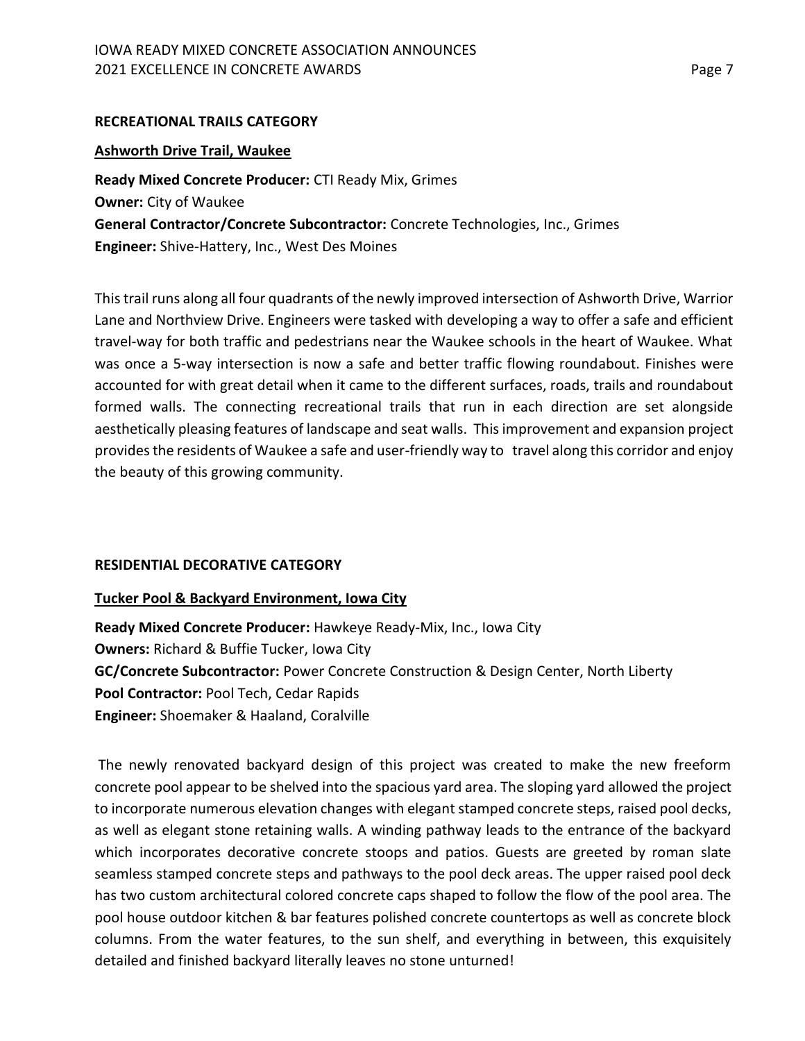## **RECREATIONAL TRAILS CATEGORY**

#### **Ashworth Drive Trail, Waukee**

**Ready Mixed Concrete Producer:** CTI Ready Mix, Grimes **Owner:** City of Waukee **General Contractor/Concrete Subcontractor:** Concrete Technologies, Inc., Grimes **Engineer:** Shive-Hattery, Inc., West Des Moines

This trail runs along all four quadrants of the newly improved intersection of Ashworth Drive, Warrior Lane and Northview Drive. Engineers were tasked with developing a way to offer a safe and efficient travel-way for both traffic and pedestrians near the Waukee schools in the heart of Waukee. What was once a 5-way intersection is now a safe and better traffic flowing roundabout. Finishes were accounted for with great detail when it came to the different surfaces, roads, trails and roundabout formed walls. The connecting recreational trails that run in each direction are set alongside aesthetically pleasing features of landscape and seat walls. This improvement and expansion project provides the residents of Waukee a safe and user-friendly way to travel along this corridor and enjoy the beauty of this growing community.

#### **RESIDENTIAL DECORATIVE CATEGORY**

#### **Tucker Pool & Backyard Environment, Iowa City**

**Ready Mixed Concrete Producer:** Hawkeye Ready-Mix, Inc., Iowa City **Owners:** Richard & Buffie Tucker, Iowa City **GC/Concrete Subcontractor:** Power Concrete Construction & Design Center, North Liberty **Pool Contractor:** Pool Tech, Cedar Rapids **Engineer:** Shoemaker & Haaland, Coralville

The newly renovated backyard design of this project was created to make the new freeform concrete pool appear to be shelved into the spacious yard area. The sloping yard allowed the project to incorporate numerous elevation changes with elegant stamped concrete steps, raised pool decks, as well as elegant stone retaining walls. A winding pathway leads to the entrance of the backyard which incorporates decorative concrete stoops and patios. Guests are greeted by roman slate seamless stamped concrete steps and pathways to the pool deck areas. The upper raised pool deck has two custom architectural colored concrete caps shaped to follow the flow of the pool area. The pool house outdoor kitchen & bar features polished concrete countertops as well as concrete block columns. From the water features, to the sun shelf, and everything in between, this exquisitely detailed and finished backyard literally leaves no stone unturned!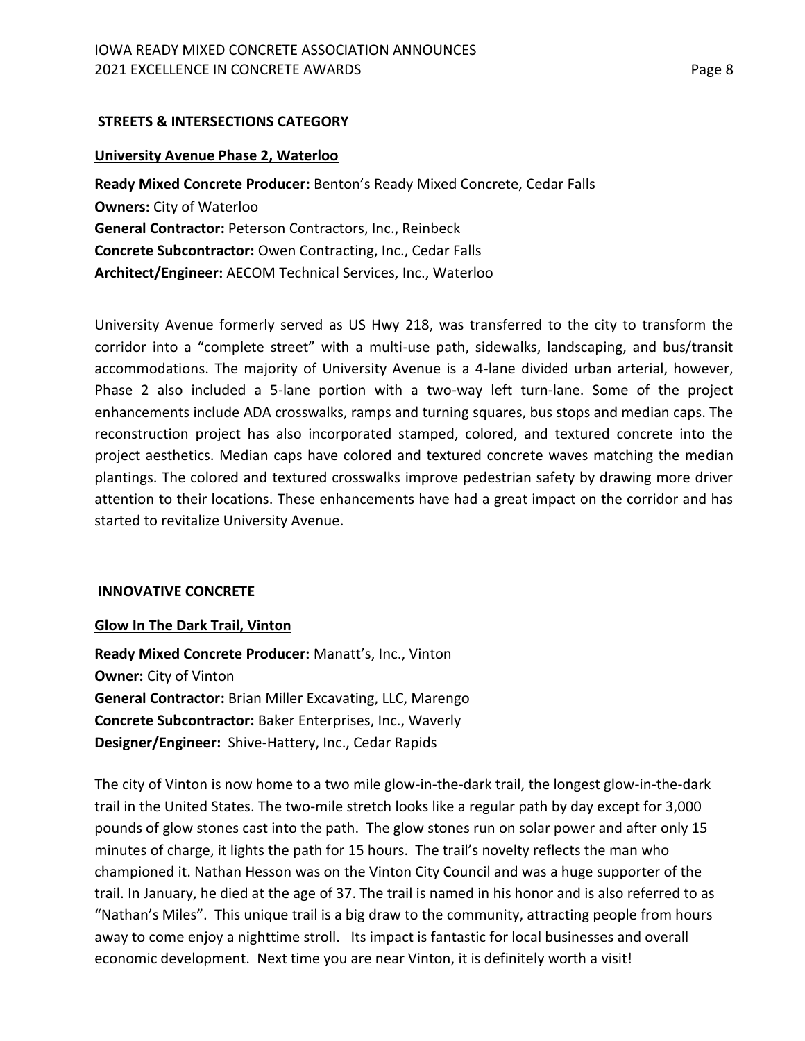## **STREETS & INTERSECTIONS CATEGORY**

#### **University Avenue Phase 2, Waterloo**

**Ready Mixed Concrete Producer:** Benton's Ready Mixed Concrete, Cedar Falls **Owners:** City of Waterloo **General Contractor:** Peterson Contractors, Inc., Reinbeck **Concrete Subcontractor:** Owen Contracting, Inc., Cedar Falls **Architect/Engineer:** AECOM Technical Services, Inc., Waterloo

University Avenue formerly served as US Hwy 218, was transferred to the city to transform the corridor into a "complete street" with a multi-use path, sidewalks, landscaping, and bus/transit accommodations. The majority of University Avenue is a 4-lane divided urban arterial, however, Phase 2 also included a 5-lane portion with a two-way left turn-lane. Some of the project enhancements include ADA crosswalks, ramps and turning squares, bus stops and median caps. The reconstruction project has also incorporated stamped, colored, and textured concrete into the project aesthetics. Median caps have colored and textured concrete waves matching the median plantings. The colored and textured crosswalks improve pedestrian safety by drawing more driver attention to their locations. These enhancements have had a great impact on the corridor and has started to revitalize University Avenue.

## **INNOVATIVE CONCRETE**

#### **Glow In The Dark Trail, Vinton**

**Ready Mixed Concrete Producer:** Manatt's, Inc., Vinton **Owner:** City of Vinton **General Contractor:** Brian Miller Excavating, LLC, Marengo **Concrete Subcontractor:** Baker Enterprises, Inc., Waverly **Designer/Engineer:** Shive-Hattery, Inc., Cedar Rapids

The city of Vinton is now home to a two mile glow-in-the-dark trail, the longest glow-in-the-dark trail in the United States. The two-mile stretch looks like a regular path by day except for 3,000 pounds of glow stones cast into the path. The glow stones run on solar power and after only 15 minutes of charge, it lights the path for 15 hours. The trail's novelty reflects the man who championed it. Nathan Hesson was on the Vinton City Council and was a huge supporter of the trail. In January, he died at the age of 37. The trail is named in his honor and is also referred to as "Nathan's Miles". This unique trail is a big draw to the community, attracting people from hours away to come enjoy a nighttime stroll. Its impact is fantastic for local businesses and overall economic development. Next time you are near Vinton, it is definitely worth a visit!